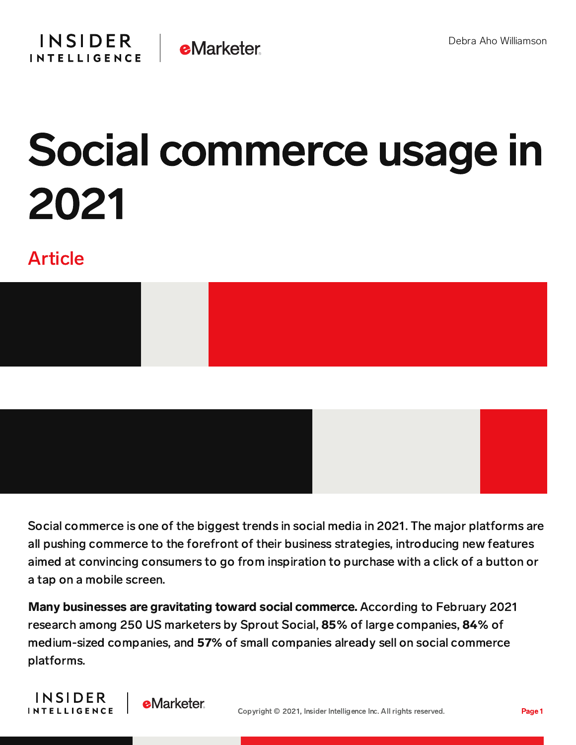

## Social commerce usage in 2021

## Article



Social commerce is one of the biggest trends in social media in 2021. The major platforms are all pushing commerce to the forefront of their business strategies, introducing new features aimed at convincing consumers to go from inspiration to purchase with a click of a button or a tap on a mobile screen.

Many businesses are gravitating toward social commerce. According to February 2021 research among 250 US marketers by Sprout Social, 85% of large companies, 84% of medium-sized companies, and 57% of small companies already sell on social commerce platforms.



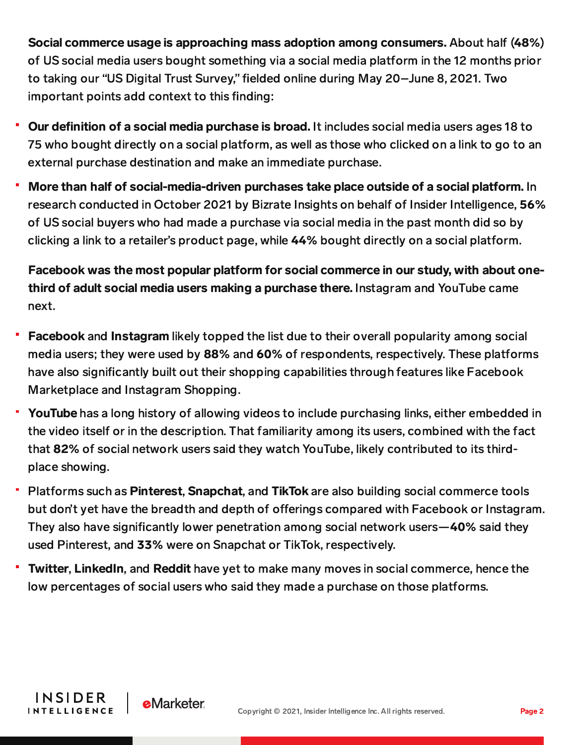Social commerce usage is approaching mass adoption among consumers. About half (48%) of US social media users bought something via a social media platform in the 12 months prior to taking our "US Digital Trust Survey," fielded online during May 20–June 8, 2021. Two important points add context to this finding:

- Our definition of a social media purchase is broad. It includes social media users ages 18 to 75 who bought directly on a social platform, as well as those who clicked on a link to go to an external purchase destination and make an immediate purchase.
- More than half of social-media-driven purchases take place outside of a social platform. In research conducted in October 2021 by Bizrate Insights on behalf of Insider Intelligence, 56% of US social buyers who had made a purchase via social media in the past month did so by clicking a link to a retailer's product page, while 44% bought directly on a social platform.

Facebook was the most popular platform for social commerce in our study, with about onethird of adult social media users making a purchase there. Instagram and YouTube came next.

- Facebook and Instagram likely topped the list due to their overall popularity among social media users; they were used by 88% and 60% of respondents, respectively. These platforms have also significantly built out their shopping capabilities through features like Facebook Marketplace and Instagram Shopping.
- YouTube has a long history of allowing videos to include purchasing links, either embedded in the video itself or in the description. That familiarity among its users, combined with the fact that 82% of social network users said they watch YouTube, likely contributed to its thirdplace showing.
- Platforms such as Pinterest, Snapchat, and TikTok are also building social commerce tools but don't yet have the breadth and depth of offerings compared with Facebook or Instagram. They also have significantly lower penetration among social network users—40% said they used Pinterest, and 33% were on Snapchat or TikTok, respectively.
- Twitter, LinkedIn, and Reddit have yet to make many moves in social commerce, hence the low percentages of social users who said they made a purchase on those platforms.

**INSIDER** 

**INTELLIGENCE** 

**eMarketer**